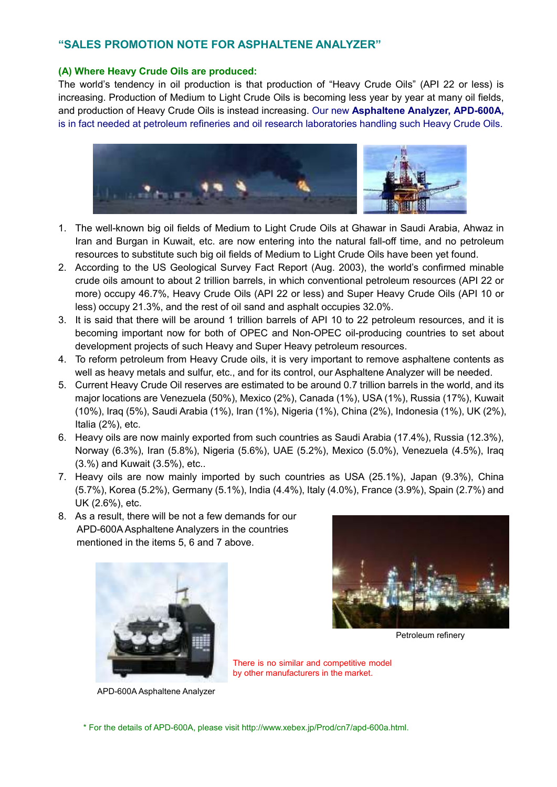# **"SALES PROMOTION NOTE FOR ASPHALTENE ANALYZER"**

#### **(A) Where Heavy Crude Oils are produced:**

The world's tendency in oil production is that production of "Heavy Crude Oils" (API 22 or less) is increasing. Production of Medium to Light Crude Oils is becoming less year by year at many oil fields, and production of Heavy Crude Oils is instead increasing. Our new **Asphaltene Analyzer, APD-600A,** is in fact needed at petroleum refineries and oil research laboratories handling such Heavy Crude Oils.



- 1. The well-known big oil fields of Medium to Light Crude Oils at Ghawar in Saudi Arabia, Ahwaz in Iran and Burgan in Kuwait, etc. are now entering into the natural fall-off time, and no petroleum resources to substitute such big oil fields of Medium to Light Crude Oils have been yet found.
- 2. According to the US Geological Survey Fact Report (Aug. 2003), the world's confirmed minable crude oils amount to about 2 trillion barrels, in which conventional petroleum resources (API 22 or more) occupy 46.7%, Heavy Crude Oils (API 22 or less) and Super Heavy Crude Oils (API 10 or less) occupy 21.3%, and the rest of oil sand and asphalt occupies 32.0%.
- 3. It is said that there will be around 1 trillion barrels of API 10 to 22 petroleum resources, and it is becoming important now for both of OPEC and Non-OPEC oil-producing countries to set about development projects of such Heavy and Super Heavy petroleum resources.
- 4. To reform petroleum from Heavy Crude oils, it is very important to remove asphaltene contents as well as heavy metals and sulfur, etc., and for its control, our Asphaltene Analyzer will be needed.
- 5. Current Heavy Crude Oil reserves are estimated to be around 0.7 trillion barrels in the world, and its major locations are Venezuela (50%), Mexico (2%), Canada (1%), USA (1%), Russia (17%), Kuwait (10%), Iraq (5%), Saudi Arabia (1%), Iran (1%), Nigeria (1%), China (2%), Indonesia (1%), UK (2%), Italia (2%), etc.
- 6. Heavy oils are now mainly exported from such countries as Saudi Arabia (17.4%), Russia (12.3%), Norway (6.3%), Iran (5.8%), Nigeria (5.6%), UAE (5.2%), Mexico (5.0%), Venezuela (4.5%), Iraq (3.%) and Kuwait (3.5%), etc..
- 7. Heavy oils are now mainly imported by such countries as USA (25.1%), Japan (9.3%), China (5.7%), Korea (5.2%), Germany (5.1%), India (4.4%), Italy (4.0%), France (3.9%), Spain (2.7%) and UK (2.6%), etc.
- 8. As a result, there will be not a few demands for our APD-600A Asphaltene Analyzers in the countries mentioned in the items 5, 6 and 7 above.



Petroleum refinery

APD-600A Asphaltene Analyzer

There is no similar and competitive model by other manufacturers in the market.

\* For the details of APD-600A, please visit http://www.xebex.jp/Prod/cn7/apd-600a.html.